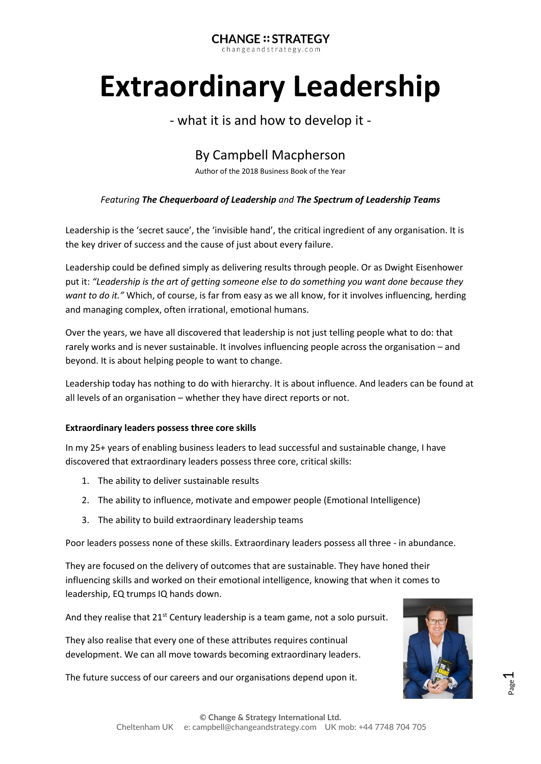#### **CHANGE:: STRATEGY** changeandstrategy.com

# **Extraordinary Leadership**

# - what it is and how to develop it -

# By Campbell Macpherson

Author of the 2018 Business Book of the Year

#### *Featuring The Chequerboard of Leadership and The Spectrum of Leadership Teams*

Leadership is the 'secret sauce', the 'invisible hand', the critical ingredient of any organisation. It is the key driver of success and the cause of just about every failure.

Leadership could be defined simply as delivering results through people. Or as Dwight Eisenhower put it: *"Leadership is the art of getting someone else to do something you want done because they want to do it."* Which, of course, is far from easy as we all know, for it involves influencing, herding and managing complex, often irrational, emotional humans.

Over the years, we have all discovered that leadership is not just telling people what to do: that rarely works and is never sustainable. It involves influencing people across the organisation – and beyond. It is about helping people to want to change.

Leadership today has nothing to do with hierarchy. It is about influence. And leaders can be found at all levels of an organisation – whether they have direct reports or not.

#### **Extraordinary leaders possess three core skills**

In my 25+ years of enabling business leaders to lead successful and sustainable change, I have discovered that extraordinary leaders possess three core, critical skills:

- 1. The ability to deliver sustainable results
- 2. The ability to influence, motivate and empower people (Emotional Intelligence)
- 3. The ability to build extraordinary leadership teams

Poor leaders possess none of these skills. Extraordinary leaders possess all three - in abundance.

They are focused on the delivery of outcomes that are sustainable. They have honed their influencing skills and worked on their emotional intelligence, knowing that when it comes to leadership, EQ trumps IQ hands down.

And they realise that  $21^{st}$  Century leadership is a team game, not a solo pursuit.

They also realise that every one of these attributes requires continual development. We can all move towards becoming extraordinary leaders.

The future success of our careers and our organisations depend upon it.

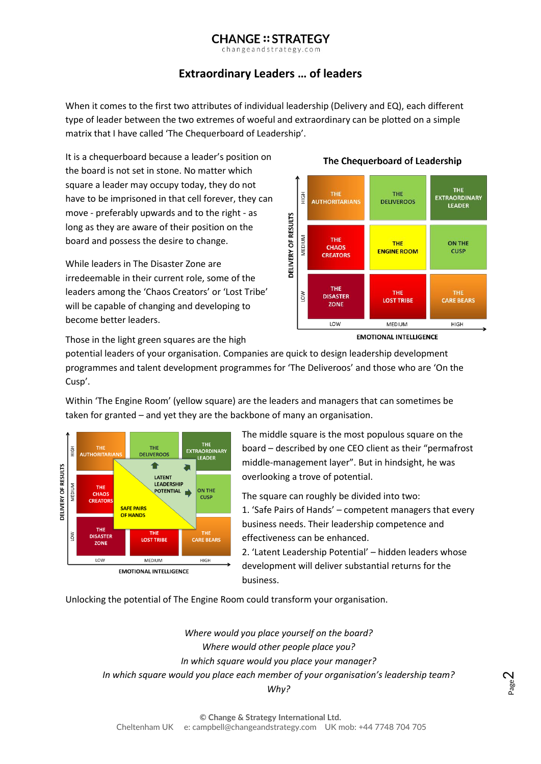changeandstrategy.com

## **Extraordinary Leaders … of leaders**

When it comes to the first two attributes of individual leadership (Delivery and EQ), each different type of leader between the two extremes of woeful and extraordinary can be plotted on a simple matrix that I have called 'The Chequerboard of Leadership'.

It is a chequerboard because a leader's position on the board is not set in stone. No matter which square a leader may occupy today, they do not have to be imprisoned in that cell forever, they can move - preferably upwards and to the right - as long as they are aware of their position on the board and possess the desire to change.

While leaders in The Disaster Zone are irredeemable in their current role, some of the leaders among the 'Chaos Creators' or 'Lost Tribe' will be capable of changing and developing to become better leaders.

#### The Chequerboard of Leadership



**EMOTIONAL INTELLIGENCE** 

Those in the light green squares are the high

potential leaders of your organisation. Companies are quick to design leadership development programmes and talent development programmes for 'The Deliveroos' and those who are 'On the Cusp'.

Within 'The Engine Room' (yellow square) are the leaders and managers that can sometimes be taken for granted – and yet they are the backbone of many an organisation.



The middle square is the most populous square on the board – described by one CEO client as their "permafrost middle-management layer". But in hindsight, he was overlooking a trove of potential.

The square can roughly be divided into two: 1. 'Safe Pairs of Hands' – competent managers that every business needs. Their leadership competence and effectiveness can be enhanced.

2. 'Latent Leadership Potential' – hidden leaders whose development will deliver substantial returns for the business.

Unlocking the potential of The Engine Room could transform your organisation.

*Where would you place yourself on the board? Where would other people place you? In which square would you place your manager? In which square would you place each member of your organisation's leadership team? Why?*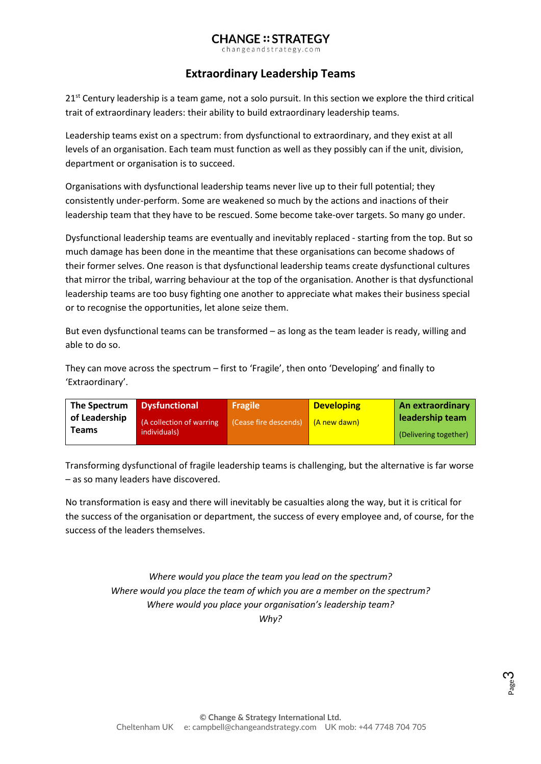changeandstrategy.com

#### **Extraordinary Leadership Teams**

 $21<sup>st</sup>$  Century leadership is a team game, not a solo pursuit. In this section we explore the third critical trait of extraordinary leaders: their ability to build extraordinary leadership teams.

Leadership teams exist on a spectrum: from dysfunctional to extraordinary, and they exist at all levels of an organisation. Each team must function as well as they possibly can if the unit, division, department or organisation is to succeed.

Organisations with dysfunctional leadership teams never live up to their full potential; they consistently under-perform. Some are weakened so much by the actions and inactions of their leadership team that they have to be rescued. Some become take-over targets. So many go under.

Dysfunctional leadership teams are eventually and inevitably replaced - starting from the top. But so much damage has been done in the meantime that these organisations can become shadows of their former selves. One reason is that dysfunctional leadership teams create dysfunctional cultures that mirror the tribal, warring behaviour at the top of the organisation. Another is that dysfunctional leadership teams are too busy fighting one another to appreciate what makes their business special or to recognise the opportunities, let alone seize them.

But even dysfunctional teams can be transformed – as long as the team leader is ready, willing and able to do so.

They can move across the spectrum – first to 'Fragile', then onto 'Developing' and finally to 'Extraordinary'.

| The Spectrum  | <b>Dysfunctional</b>     | <b>Fragile</b>        | <b>Developing</b> | An extraordinary      |
|---------------|--------------------------|-----------------------|-------------------|-----------------------|
| of Leadership | (A collection of warring | (Cease fire descends) | (A new dawn)      | leadership team       |
| Teams         | individuals)             |                       |                   | (Delivering together) |

Transforming dysfunctional of fragile leadership teams is challenging, but the alternative is far worse – as so many leaders have discovered.

No transformation is easy and there will inevitably be casualties along the way, but it is critical for the success of the organisation or department, the success of every employee and, of course, for the success of the leaders themselves.

> *Where would you place the team you lead on the spectrum? Where would you place the team of which you are a member on the spectrum? Where would you place your organisation's leadership team? Why?*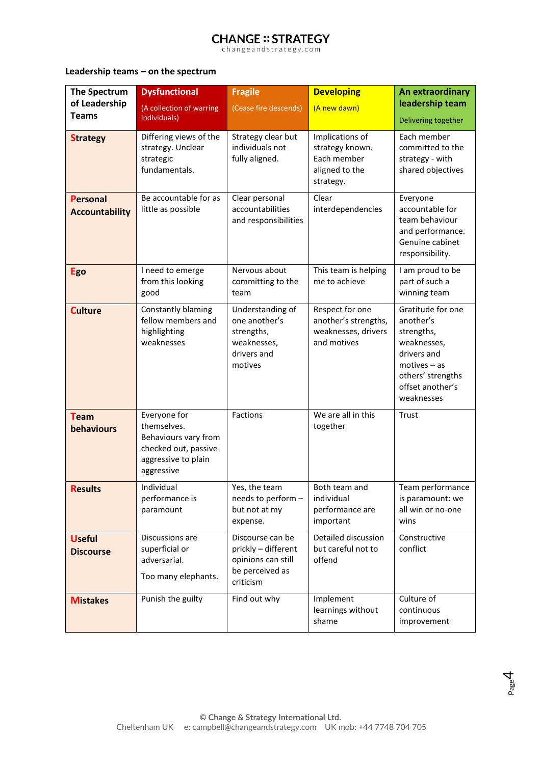changeandstrategy.com

#### **Leadership teams – on the spectrum**

| The Spectrum<br>of Leadership<br><b>Teams</b> | <b>Dysfunctional</b><br>(A collection of warring<br>individuals)                                                  | <b>Fragile</b><br>(Cease fire descends)                                                       | <b>Developing</b><br>(A new dawn)                                                | An extraordinary<br>leadership team<br>Delivering together                                                                                          |
|-----------------------------------------------|-------------------------------------------------------------------------------------------------------------------|-----------------------------------------------------------------------------------------------|----------------------------------------------------------------------------------|-----------------------------------------------------------------------------------------------------------------------------------------------------|
| <b>Strategy</b>                               | Differing views of the<br>strategy. Unclear<br>strategic<br>fundamentals.                                         | Strategy clear but<br>individuals not<br>fully aligned.                                       | Implications of<br>strategy known.<br>Each member<br>aligned to the<br>strategy. | Each member<br>committed to the<br>strategy - with<br>shared objectives                                                                             |
| <b>Personal</b><br><b>Accountability</b>      | Be accountable for as<br>little as possible                                                                       | Clear personal<br>accountabilities<br>and responsibilities                                    | Clear<br>interdependencies                                                       | Everyone<br>accountable for<br>team behaviour<br>and performance.<br>Genuine cabinet<br>responsibility.                                             |
| <b>Ego</b>                                    | I need to emerge<br>from this looking<br>good                                                                     | Nervous about<br>committing to the<br>team                                                    | This team is helping<br>me to achieve                                            | I am proud to be<br>part of such a<br>winning team                                                                                                  |
| <b>Culture</b>                                | Constantly blaming<br>fellow members and<br>highlighting<br>weaknesses                                            | Understanding of<br>one another's<br>strengths,<br>weaknesses,<br>drivers and<br>motives      | Respect for one<br>another's strengths,<br>weaknesses, drivers<br>and motives    | Gratitude for one<br>another's<br>strengths,<br>weaknesses,<br>drivers and<br>$motives - as$<br>others' strengths<br>offset another's<br>weaknesses |
| <b>Team</b><br>behaviours                     | Everyone for<br>themselves.<br>Behaviours vary from<br>checked out, passive-<br>aggressive to plain<br>aggressive | Factions                                                                                      | We are all in this<br>together                                                   | Trust                                                                                                                                               |
| <b>Results</b>                                | Individual<br>performance is<br>paramount                                                                         | Yes, the team<br>needs to perform -<br>but not at my<br>expense.                              | Both team and<br>individual<br>performance are<br>important                      | Team performance<br>is paramount: we<br>all win or no-one<br>wins                                                                                   |
| <b>Useful</b><br><b>Discourse</b>             | Discussions are<br>superficial or<br>adversarial.<br>Too many elephants.                                          | Discourse can be<br>prickly - different<br>opinions can still<br>be perceived as<br>criticism | Detailed discussion<br>but careful not to<br>offend                              | Constructive<br>conflict                                                                                                                            |
| <b>Mistakes</b>                               | Punish the guilty                                                                                                 | Find out why                                                                                  | Implement<br>learnings without<br>shame                                          | Culture of<br>continuous<br>improvement                                                                                                             |

Page 4